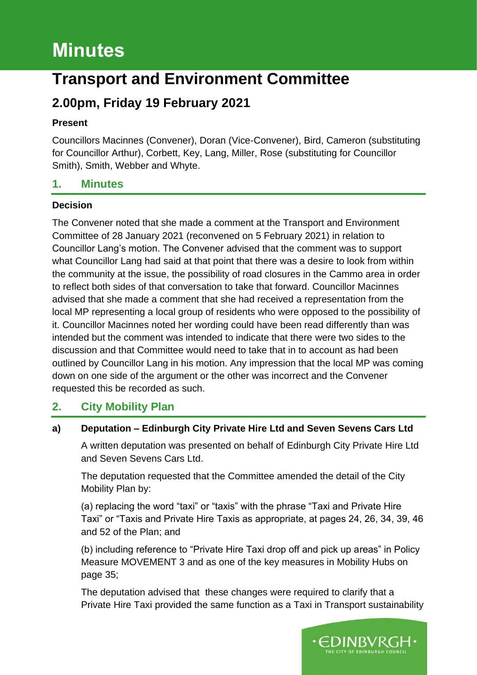# **Minutes**

## **Transport and Environment Committee**

### **2.00pm, Friday 19 February 2021**

#### **Present**

Councillors Macinnes (Convener), Doran (Vice-Convener), Bird, Cameron (substituting for Councillor Arthur), Corbett, Key, Lang, Miller, Rose (substituting for Councillor Smith), Smith, Webber and Whyte.

#### **1. Minutes**

#### **Decision**

The Convener noted that she made a comment at the Transport and Environment Committee of 28 January 2021 (reconvened on 5 February 2021) in relation to Councillor Lang's motion. The Convener advised that the comment was to support what Councillor Lang had said at that point that there was a desire to look from within the community at the issue, the possibility of road closures in the Cammo area in order to reflect both sides of that conversation to take that forward. Councillor Macinnes advised that she made a comment that she had received a representation from the local MP representing a local group of residents who were opposed to the possibility of it. Councillor Macinnes noted her wording could have been read differently than was intended but the comment was intended to indicate that there were two sides to the discussion and that Committee would need to take that in to account as had been outlined by Councillor Lang in his motion. Any impression that the local MP was coming down on one side of the argument or the other was incorrect and the Convener requested this be recorded as such.

#### **2. City Mobility Plan**

#### **a) Deputation – Edinburgh City Private Hire Ltd and Seven Sevens Cars Ltd**

A written deputation was presented on behalf of Edinburgh City Private Hire Ltd and Seven Sevens Cars Ltd.

The deputation requested that the Committee amended the detail of the City Mobility Plan by:

(a) replacing the word "taxi" or "taxis" with the phrase "Taxi and Private Hire Taxi" or "Taxis and Private Hire Taxis as appropriate, at pages 24, 26, 34, 39, 46 and 52 of the Plan; and

(b) including reference to "Private Hire Taxi drop off and pick up areas" in Policy Measure MOVEMENT 3 and as one of the key measures in Mobility Hubs on page 35;

The deputation advised that these changes were required to clarify that a Private Hire Taxi provided the same function as a Taxi in Transport sustainability

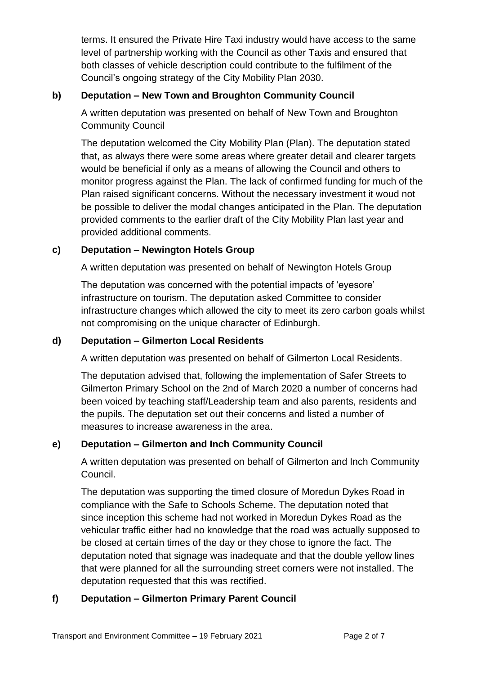terms. It ensured the Private Hire Taxi industry would have access to the same level of partnership working with the Council as other Taxis and ensured that both classes of vehicle description could contribute to the fulfilment of the Council's ongoing strategy of the City Mobility Plan 2030.

#### **b) Deputation – New Town and Broughton Community Council**

A written deputation was presented on behalf of New Town and Broughton Community Council

The deputation welcomed the City Mobility Plan (Plan). The deputation stated that, as always there were some areas where greater detail and clearer targets would be beneficial if only as a means of allowing the Council and others to monitor progress against the Plan. The lack of confirmed funding for much of the Plan raised significant concerns. Without the necessary investment it woud not be possible to deliver the modal changes anticipated in the Plan. The deputation provided comments to the earlier draft of the City Mobility Plan last year and provided additional comments.

#### **c) Deputation – Newington Hotels Group**

A written deputation was presented on behalf of Newington Hotels Group

The deputation was concerned with the potential impacts of 'eyesore' infrastructure on tourism. The deputation asked Committee to consider infrastructure changes which allowed the city to meet its zero carbon goals whilst not compromising on the unique character of Edinburgh.

#### **d) Deputation – Gilmerton Local Residents**

A written deputation was presented on behalf of Gilmerton Local Residents.

The deputation advised that, following the implementation of Safer Streets to Gilmerton Primary School on the 2nd of March 2020 a number of concerns had been voiced by teaching staff/Leadership team and also parents, residents and the pupils. The deputation set out their concerns and listed a number of measures to increase awareness in the area.

#### **e) Deputation – Gilmerton and Inch Community Council**

A written deputation was presented on behalf of Gilmerton and Inch Community Council.

The deputation was supporting the timed closure of Moredun Dykes Road in compliance with the Safe to Schools Scheme. The deputation noted that since inception this scheme had not worked in Moredun Dykes Road as the vehicular traffic either had no knowledge that the road was actually supposed to be closed at certain times of the day or they chose to ignore the fact. The deputation noted that signage was inadequate and that the double yellow lines that were planned for all the surrounding street corners were not installed. The deputation requested that this was rectified.

#### **f) Deputation – Gilmerton Primary Parent Council**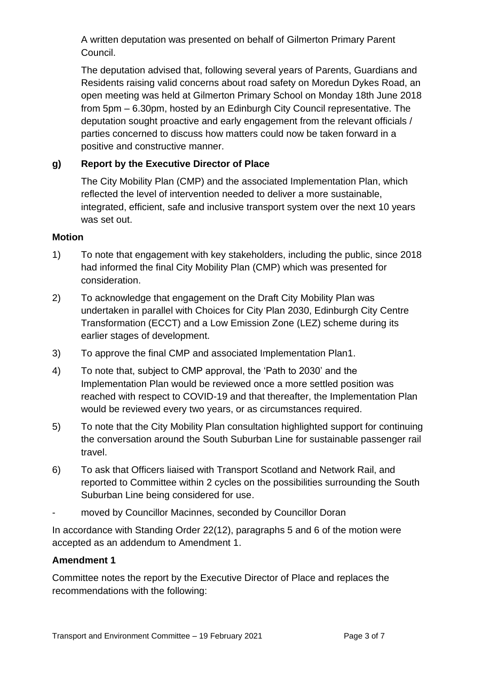A written deputation was presented on behalf of Gilmerton Primary Parent Council.

The deputation advised that, following several years of Parents, Guardians and Residents raising valid concerns about road safety on Moredun Dykes Road, an open meeting was held at Gilmerton Primary School on Monday 18th June 2018 from 5pm – 6.30pm, hosted by an Edinburgh City Council representative. The deputation sought proactive and early engagement from the relevant officials / parties concerned to discuss how matters could now be taken forward in a positive and constructive manner.

#### **g) Report by the Executive Director of Place**

The City Mobility Plan (CMP) and the associated Implementation Plan, which reflected the level of intervention needed to deliver a more sustainable, integrated, efficient, safe and inclusive transport system over the next 10 years was set out.

#### **Motion**

- 1) To note that engagement with key stakeholders, including the public, since 2018 had informed the final City Mobility Plan (CMP) which was presented for consideration.
- 2) To acknowledge that engagement on the Draft City Mobility Plan was undertaken in parallel with Choices for City Plan 2030, Edinburgh City Centre Transformation (ECCT) and a Low Emission Zone (LEZ) scheme during its earlier stages of development.
- 3) To approve the final CMP and associated Implementation Plan1.
- 4) To note that, subject to CMP approval, the 'Path to 2030' and the Implementation Plan would be reviewed once a more settled position was reached with respect to COVID-19 and that thereafter, the Implementation Plan would be reviewed every two years, or as circumstances required.
- 5) To note that the City Mobility Plan consultation highlighted support for continuing the conversation around the South Suburban Line for sustainable passenger rail travel.
- 6) To ask that Officers liaised with Transport Scotland and Network Rail, and reported to Committee within 2 cycles on the possibilities surrounding the South Suburban Line being considered for use.
- moved by Councillor Macinnes, seconded by Councillor Doran

In accordance with Standing Order 22(12), paragraphs 5 and 6 of the motion were accepted as an addendum to Amendment 1.

#### **Amendment 1**

Committee notes the report by the Executive Director of Place and replaces the recommendations with the following: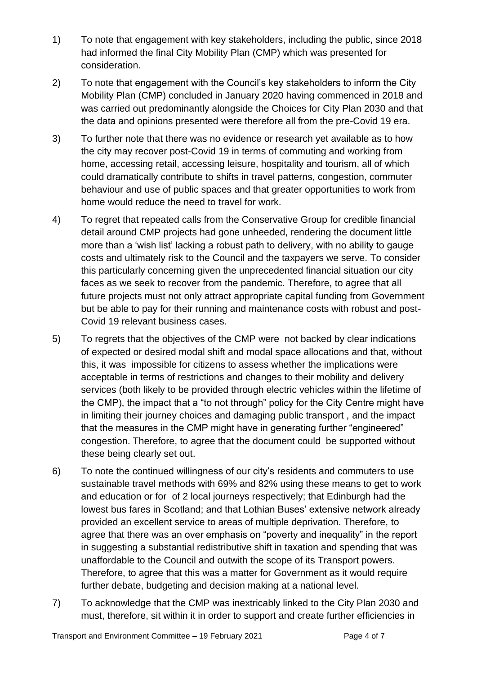- 1) To note that engagement with key stakeholders, including the public, since 2018 had informed the final City Mobility Plan (CMP) which was presented for consideration.
- 2) To note that engagement with the Council's key stakeholders to inform the City Mobility Plan (CMP) concluded in January 2020 having commenced in 2018 and was carried out predominantly alongside the Choices for City Plan 2030 and that the data and opinions presented were therefore all from the pre-Covid 19 era.
- 3) To further note that there was no evidence or research yet available as to how the city may recover post-Covid 19 in terms of commuting and working from home, accessing retail, accessing leisure, hospitality and tourism, all of which could dramatically contribute to shifts in travel patterns, congestion, commuter behaviour and use of public spaces and that greater opportunities to work from home would reduce the need to travel for work.
- 4) To regret that repeated calls from the Conservative Group for credible financial detail around CMP projects had gone unheeded, rendering the document little more than a 'wish list' lacking a robust path to delivery, with no ability to gauge costs and ultimately risk to the Council and the taxpayers we serve. To consider this particularly concerning given the unprecedented financial situation our city faces as we seek to recover from the pandemic. Therefore, to agree that all future projects must not only attract appropriate capital funding from Government but be able to pay for their running and maintenance costs with robust and post-Covid 19 relevant business cases.
- 5) To regrets that the objectives of the CMP were not backed by clear indications of expected or desired modal shift and modal space allocations and that, without this, it was impossible for citizens to assess whether the implications were acceptable in terms of restrictions and changes to their mobility and delivery services (both likely to be provided through electric vehicles within the lifetime of the CMP), the impact that a "to not through" policy for the City Centre might have in limiting their journey choices and damaging public transport , and the impact that the measures in the CMP might have in generating further "engineered" congestion. Therefore, to agree that the document could be supported without these being clearly set out.
- 6) To note the continued willingness of our city's residents and commuters to use sustainable travel methods with 69% and 82% using these means to get to work and education or for of 2 local journeys respectively; that Edinburgh had the lowest bus fares in Scotland; and that Lothian Buses' extensive network already provided an excellent service to areas of multiple deprivation. Therefore, to agree that there was an over emphasis on "poverty and inequality" in the report in suggesting a substantial redistributive shift in taxation and spending that was unaffordable to the Council and outwith the scope of its Transport powers. Therefore, to agree that this was a matter for Government as it would require further debate, budgeting and decision making at a national level.
- 7) To acknowledge that the CMP was inextricably linked to the City Plan 2030 and must, therefore, sit within it in order to support and create further efficiencies in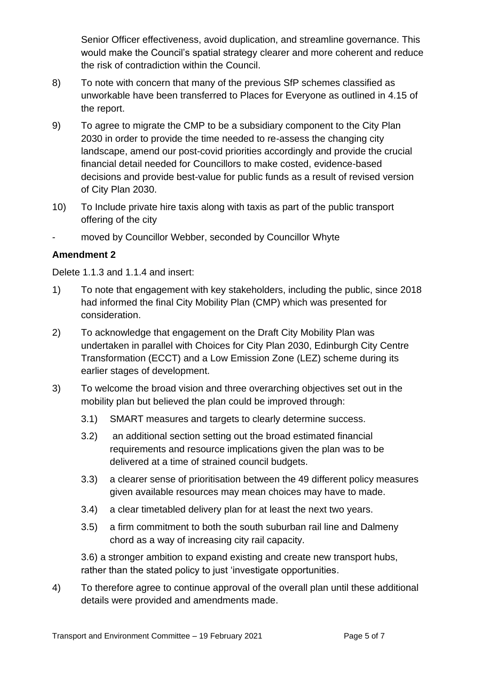Senior Officer effectiveness, avoid duplication, and streamline governance. This would make the Council's spatial strategy clearer and more coherent and reduce the risk of contradiction within the Council.

- 8) To note with concern that many of the previous SfP schemes classified as unworkable have been transferred to Places for Everyone as outlined in 4.15 of the report.
- 9) To agree to migrate the CMP to be a subsidiary component to the City Plan 2030 in order to provide the time needed to re-assess the changing city landscape, amend our post-covid priorities accordingly and provide the crucial financial detail needed for Councillors to make costed, evidence-based decisions and provide best-value for public funds as a result of revised version of City Plan 2030.
- 10) To Include private hire taxis along with taxis as part of the public transport offering of the city
- moved by Councillor Webber, seconded by Councillor Whyte

#### **Amendment 2**

Delete 1.1.3 and 1.1.4 and insert:

- 1) To note that engagement with key stakeholders, including the public, since 2018 had informed the final City Mobility Plan (CMP) which was presented for consideration.
- 2) To acknowledge that engagement on the Draft City Mobility Plan was undertaken in parallel with Choices for City Plan 2030, Edinburgh City Centre Transformation (ECCT) and a Low Emission Zone (LEZ) scheme during its earlier stages of development.
- 3) To welcome the broad vision and three overarching objectives set out in the mobility plan but believed the plan could be improved through:
	- 3.1) SMART measures and targets to clearly determine success.
	- 3.2) an additional section setting out the broad estimated financial requirements and resource implications given the plan was to be delivered at a time of strained council budgets.
	- 3.3) a clearer sense of prioritisation between the 49 different policy measures given available resources may mean choices may have to made.
	- 3.4) a clear timetabled delivery plan for at least the next two years.
	- 3.5) a firm commitment to both the south suburban rail line and Dalmeny chord as a way of increasing city rail capacity.

3.6) a stronger ambition to expand existing and create new transport hubs, rather than the stated policy to just 'investigate opportunities.

4) To therefore agree to continue approval of the overall plan until these additional details were provided and amendments made.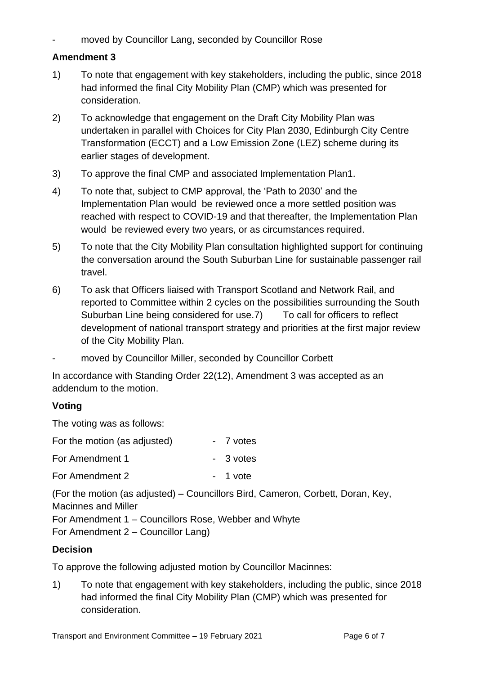moved by Councillor Lang, seconded by Councillor Rose

#### **Amendment 3**

- 1) To note that engagement with key stakeholders, including the public, since 2018 had informed the final City Mobility Plan (CMP) which was presented for consideration.
- 2) To acknowledge that engagement on the Draft City Mobility Plan was undertaken in parallel with Choices for City Plan 2030, Edinburgh City Centre Transformation (ECCT) and a Low Emission Zone (LEZ) scheme during its earlier stages of development.
- 3) To approve the final CMP and associated Implementation Plan1.
- 4) To note that, subject to CMP approval, the 'Path to 2030' and the Implementation Plan would be reviewed once a more settled position was reached with respect to COVID-19 and that thereafter, the Implementation Plan would be reviewed every two years, or as circumstances required.
- 5) To note that the City Mobility Plan consultation highlighted support for continuing the conversation around the South Suburban Line for sustainable passenger rail travel.
- 6) To ask that Officers liaised with Transport Scotland and Network Rail, and reported to Committee within 2 cycles on the possibilities surrounding the South Suburban Line being considered for use.7) To call for officers to reflect development of national transport strategy and priorities at the first major review of the City Mobility Plan.
- moved by Councillor Miller, seconded by Councillor Corbett

In accordance with Standing Order 22(12), Amendment 3 was accepted as an addendum to the motion.

#### **Voting**

The voting was as follows:

| For the motion (as adjusted) | - 7 votes |
|------------------------------|-----------|
| For Amendment 1              | - 3 votes |
| For Amendment 2              | - 1 vote  |

(For the motion (as adjusted) – Councillors Bird, Cameron, Corbett, Doran, Key, Macinnes and Miller For Amendment 1 – Councillors Rose, Webber and Whyte For Amendment 2 – Councillor Lang)

#### **Decision**

To approve the following adjusted motion by Councillor Macinnes:

1) To note that engagement with key stakeholders, including the public, since 2018 had informed the final City Mobility Plan (CMP) which was presented for consideration.